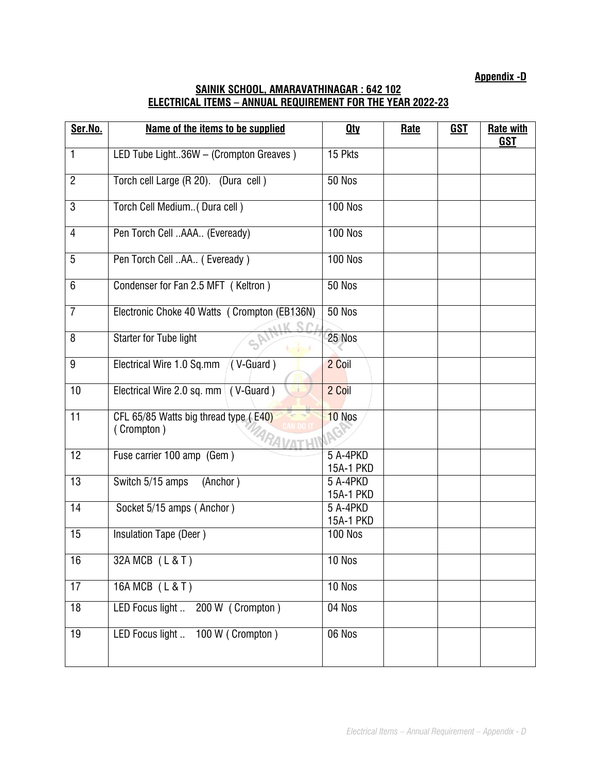**Appendix -D**

## **SAINIK SCHOOL, AMARAVATHINAGAR : 642 102 ELECTRICAL ITEMS – ANNUAL REQUIREMENT FOR THE YEAR 2022-23**

| Ser.No.         | Name of the items to be supplied                    | <b>Qty</b>            | <b>Rate</b> | <b>GST</b> | <b>Rate with</b><br><b>GST</b> |
|-----------------|-----------------------------------------------------|-----------------------|-------------|------------|--------------------------------|
| 1               | LED Tube Light36W - (Crompton Greaves)              | 15 Pkts               |             |            |                                |
| $\overline{2}$  | Torch cell Large (R 20). (Dura cell)                | <b>50 Nos</b>         |             |            |                                |
| $\overline{3}$  | Torch Cell Medium( Dura cell)                       | <b>100 Nos</b>        |             |            |                                |
| $\overline{4}$  | Pen Torch Cell AAA (Eveready)                       | <b>100 Nos</b>        |             |            |                                |
| 5               | Pen Torch Cell AA (Eveready)                        | <b>100 Nos</b>        |             |            |                                |
| 6               | Condenser for Fan 2.5 MFT (Keltron)                 | 50 Nos                |             |            |                                |
| $\overline{7}$  | Electronic Choke 40 Watts ( Crompton (EB136N)       | <b>50 Nos</b>         |             |            |                                |
| 8               | <b>Starter for Tube light</b>                       | 25 Nos                |             |            |                                |
| 9               | Electrical Wire 1.0 Sq.mm<br>$(V$ -Guard)           | 2 Coil                |             |            |                                |
| 10              | Electrical Wire 2.0 sq. mm (V-Guard)                | 2 Coil                |             |            |                                |
| 11              | CFL 65/85 Watts big thread type (E40)<br>(Crompton) | 10 Nos                |             |            |                                |
| $\overline{12}$ | Fuse carrier 100 amp (Gem)                          | 5 A-4PKD<br>15A-1 PKD |             |            |                                |
| 13              | Switch 5/15 amps<br>(Anchor)                        | 5 A-4PKD<br>15A-1 PKD |             |            |                                |
| 14              | Socket 5/15 amps (Anchor)                           | 5 A-4PKD<br>15A-1 PKD |             |            |                                |
| 15              | Insulation Tape (Deer)                              | <b>100 Nos</b>        |             |            |                                |
| 16              | 32A MCB (L & T)                                     | 10 Nos                |             |            |                                |
| 17              | 16A MCB (L & T)                                     | 10 Nos                |             |            |                                |
| 18              | LED Focus light  200 W (Crompton)                   | 04 Nos                |             |            |                                |
| 19              | LED Focus light  100 W (Crompton)                   | 06 Nos                |             |            |                                |